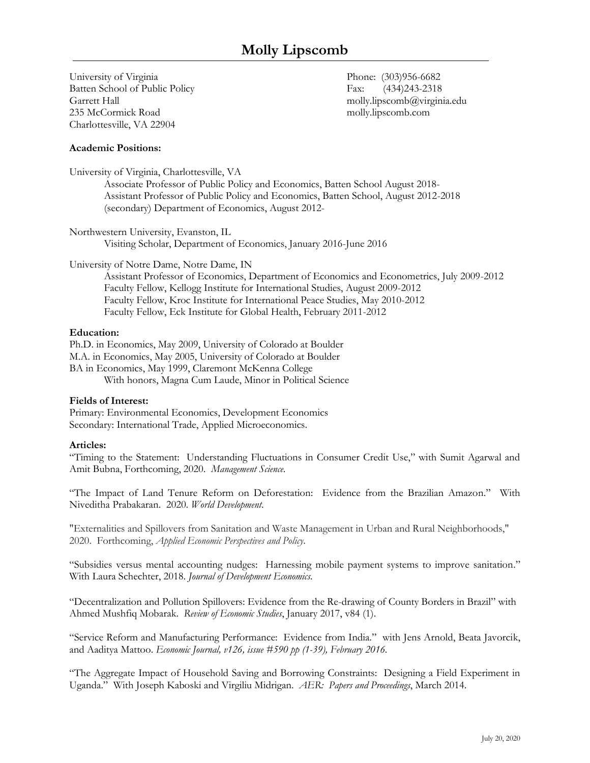# **Molly Lipscomb**

University of Virginia Phone: (303)956-6682 Batten School of Public Policy Fax: (434)243-2318 Garrett Hall molly.lipscomb@virginia.edu 235 McCormick Road molly.lipscomb.com Charlottesville, VA 22904

#### **Academic Positions:**

University of Virginia, Charlottesville, VA

Associate Professor of Public Policy and Economics, Batten School August 2018- Assistant Professor of Public Policy and Economics, Batten School, August 2012-2018 (secondary) Department of Economics, August 2012-

Northwestern University, Evanston, IL Visiting Scholar, Department of Economics, January 2016-June 2016

University of Notre Dame, Notre Dame, IN

Assistant Professor of Economics, Department of Economics and Econometrics, July 2009-2012 Faculty Fellow, Kellogg Institute for International Studies, August 2009-2012 Faculty Fellow, Kroc Institute for International Peace Studies, May 2010-2012 Faculty Fellow, Eck Institute for Global Health, February 2011-2012

#### **Education:**

Ph.D. in Economics, May 2009, University of Colorado at Boulder M.A. in Economics, May 2005, University of Colorado at Boulder BA in Economics, May 1999, Claremont McKenna College With honors, Magna Cum Laude, Minor in Political Science

#### **Fields of Interest:**

Primary: Environmental Economics, Development Economics Secondary: International Trade, Applied Microeconomics.

#### **Articles:**

"Timing to the Statement: Understanding Fluctuations in Consumer Credit Use," with Sumit Agarwal and Amit Bubna, Forthcoming, 2020. *Management Science*.

"The Impact of Land Tenure Reform on Deforestation: Evidence from the Brazilian Amazon." With Niveditha Prabakaran. 2020. *World Development*.

"Externalities and Spillovers from Sanitation and Waste Management in Urban and Rural Neighborhoods," 2020. Forthcoming, *Applied Economic Perspectives and Policy*.

"Subsidies versus mental accounting nudges: Harnessing mobile payment systems to improve sanitation." With Laura Schechter, 2018. *Journal of Development Economics.*

"Decentralization and Pollution Spillovers: Evidence from the Re-drawing of County Borders in Brazil" with Ahmed Mushfiq Mobarak. *Review of Economic Studies*, January 2017, v84 (1).

"Service Reform and Manufacturing Performance: Evidence from India." with Jens Arnold, Beata Javorcik, and Aaditya Mattoo. *Economic Journal, v126, issue #590 pp (1-39), February 2016.*

"The Aggregate Impact of Household Saving and Borrowing Constraints: Designing a Field Experiment in Uganda." With Joseph Kaboski and Virgiliu Midrigan. *AER: Papers and Proceedings*, March 2014.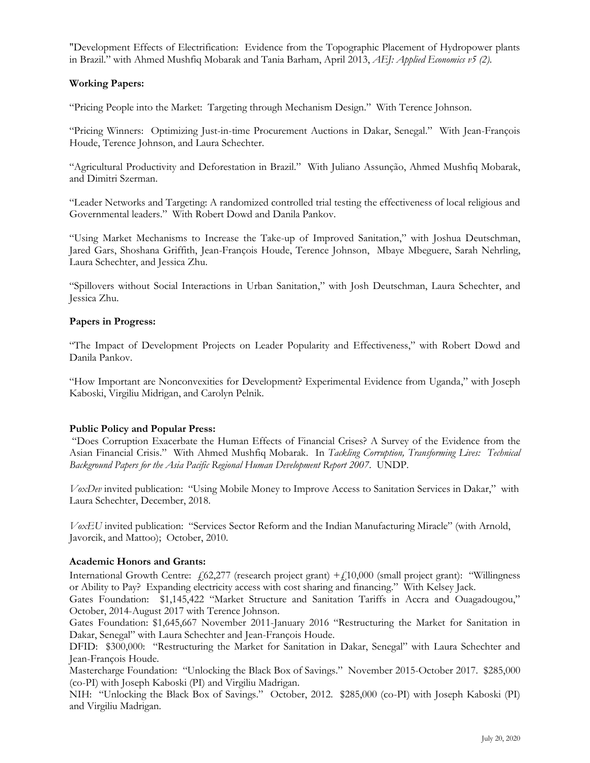"Development Effects of Electrification: Evidence from the Topographic Placement of Hydropower plants in Brazil." with Ahmed Mushfiq Mobarak and Tania Barham, April 2013, *AEJ: Applied Economics v5 (2)*.

## **Working Papers:**

"Pricing People into the Market: Targeting through Mechanism Design." With Terence Johnson.

"Pricing Winners: Optimizing Just-in-time Procurement Auctions in Dakar, Senegal." With Jean-François Houde, Terence Johnson, and Laura Schechter.

"Agricultural Productivity and Deforestation in Brazil." With Juliano Assunção, Ahmed Mushfiq Mobarak, and Dimitri Szerman.

"Leader Networks and Targeting: A randomized controlled trial testing the effectiveness of local religious and Governmental leaders." With Robert Dowd and Danila Pankov.

"Using Market Mechanisms to Increase the Take-up of Improved Sanitation," with Joshua Deutschman, Jared Gars, Shoshana Griffith, Jean-François Houde, Terence Johnson, Mbaye Mbeguere, Sarah Nehrling, Laura Schechter, and Jessica Zhu.

"Spillovers without Social Interactions in Urban Sanitation," with Josh Deutschman, Laura Schechter, and Jessica Zhu.

#### **Papers in Progress:**

"The Impact of Development Projects on Leader Popularity and Effectiveness," with Robert Dowd and Danila Pankov.

"How Important are Nonconvexities for Development? Experimental Evidence from Uganda," with Joseph Kaboski, Virgiliu Midrigan, and Carolyn Pelnik.

#### **Public Policy and Popular Press:**

"Does Corruption Exacerbate the Human Effects of Financial Crises? A Survey of the Evidence from the Asian Financial Crisis." With Ahmed Mushfiq Mobarak. In *Tackling Corruption, Transforming Lives: Technical Background Papers for the Asia Pacific Regional Human Development Report 2007*. UNDP.

*VoxDev* invited publication: "Using Mobile Money to Improve Access to Sanitation Services in Dakar," with Laura Schechter, December, 2018.

*VoxEU* invited publication: "Services Sector Reform and the Indian Manufacturing Miracle" (with Arnold, Javorcik, and Mattoo); October, 2010.

#### **Academic Honors and Grants:**

International Growth Centre: £62,277 (research project grant) +£10,000 (small project grant): "Willingness or Ability to Pay? Expanding electricity access with cost sharing and financing." With Kelsey Jack.

Gates Foundation: \$1,145,422 "Market Structure and Sanitation Tariffs in Accra and Ouagadougou," October, 2014-August 2017 with Terence Johnson.

Gates Foundation: \$1,645,667 November 2011-January 2016 "Restructuring the Market for Sanitation in Dakar, Senegal" with Laura Schechter and Jean-François Houde.

DFID: \$300,000: "Restructuring the Market for Sanitation in Dakar, Senegal" with Laura Schechter and Jean-François Houde.

Mastercharge Foundation: "Unlocking the Black Box of Savings." November 2015-October 2017. \$285,000 (co-PI) with Joseph Kaboski (PI) and Virgiliu Madrigan.

NIH: "Unlocking the Black Box of Savings." October, 2012. \$285,000 (co-PI) with Joseph Kaboski (PI) and Virgiliu Madrigan.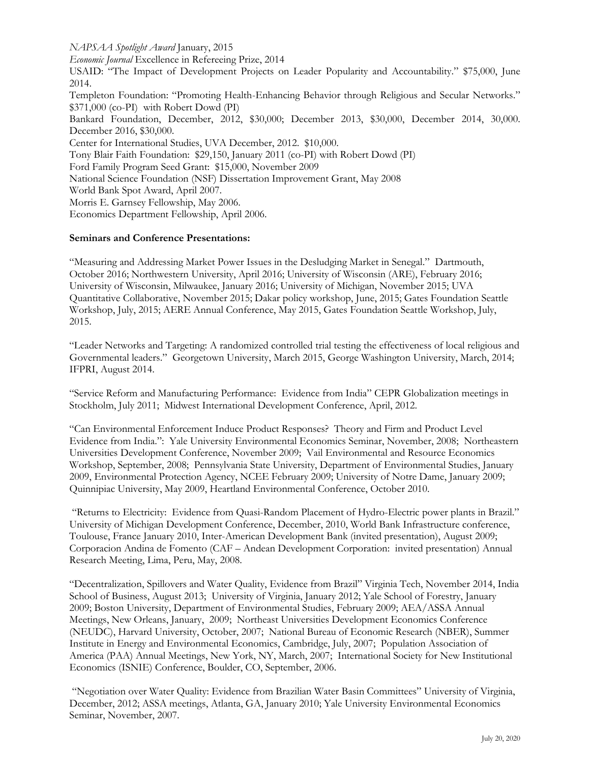*NAPSAA Spotlight Award* January, 2015

*Economic Journal* Excellence in Refereeing Prize, 2014

USAID: "The Impact of Development Projects on Leader Popularity and Accountability." \$75,000, June 2014.

Templeton Foundation: "Promoting Health-Enhancing Behavior through Religious and Secular Networks." \$371,000 (co-PI) with Robert Dowd (PI)

Bankard Foundation, December, 2012, \$30,000; December 2013, \$30,000, December 2014, 30,000. December 2016, \$30,000.

Center for International Studies, UVA December, 2012. \$10,000.

Tony Blair Faith Foundation: \$29,150, January 2011 (co-PI) with Robert Dowd (PI)

Ford Family Program Seed Grant: \$15,000, November 2009

National Science Foundation (NSF) Dissertation Improvement Grant, May 2008

World Bank Spot Award, April 2007.

Morris E. Garnsey Fellowship, May 2006.

Economics Department Fellowship, April 2006.

## **Seminars and Conference Presentations:**

"Measuring and Addressing Market Power Issues in the Desludging Market in Senegal." Dartmouth, October 2016; Northwestern University, April 2016; University of Wisconsin (ARE), February 2016; University of Wisconsin, Milwaukee, January 2016; University of Michigan, November 2015; UVA Quantitative Collaborative, November 2015; Dakar policy workshop, June, 2015; Gates Foundation Seattle Workshop, July, 2015; AERE Annual Conference, May 2015, Gates Foundation Seattle Workshop, July, 2015.

"Leader Networks and Targeting: A randomized controlled trial testing the effectiveness of local religious and Governmental leaders." Georgetown University, March 2015, George Washington University, March, 2014; IFPRI, August 2014.

"Service Reform and Manufacturing Performance: Evidence from India" CEPR Globalization meetings in Stockholm, July 2011; Midwest International Development Conference, April, 2012.

"Can Environmental Enforcement Induce Product Responses? Theory and Firm and Product Level Evidence from India.": Yale University Environmental Economics Seminar, November, 2008; Northeastern Universities Development Conference, November 2009; Vail Environmental and Resource Economics Workshop, September, 2008; Pennsylvania State University, Department of Environmental Studies, January 2009, Environmental Protection Agency, NCEE February 2009; University of Notre Dame, January 2009; Quinnipiac University, May 2009, Heartland Environmental Conference, October 2010.

"Returns to Electricity: Evidence from Quasi-Random Placement of Hydro-Electric power plants in Brazil." University of Michigan Development Conference, December, 2010, World Bank Infrastructure conference, Toulouse, France January 2010, Inter-American Development Bank (invited presentation), August 2009; Corporacion Andina de Fomento (CAF – Andean Development Corporation: invited presentation) Annual Research Meeting, Lima, Peru, May, 2008.

"Decentralization, Spillovers and Water Quality, Evidence from Brazil" Virginia Tech, November 2014, India School of Business, August 2013; University of Virginia, January 2012; Yale School of Forestry, January 2009; Boston University, Department of Environmental Studies, February 2009; AEA/ASSA Annual Meetings, New Orleans, January, 2009; Northeast Universities Development Economics Conference (NEUDC), Harvard University, October, 2007; National Bureau of Economic Research (NBER), Summer Institute in Energy and Environmental Economics, Cambridge, July, 2007; Population Association of America (PAA) Annual Meetings, New York, NY, March, 2007; International Society for New Institutional Economics (ISNIE) Conference, Boulder, CO, September, 2006.

"Negotiation over Water Quality: Evidence from Brazilian Water Basin Committees" University of Virginia, December, 2012; ASSA meetings, Atlanta, GA, January 2010; Yale University Environmental Economics Seminar, November, 2007.